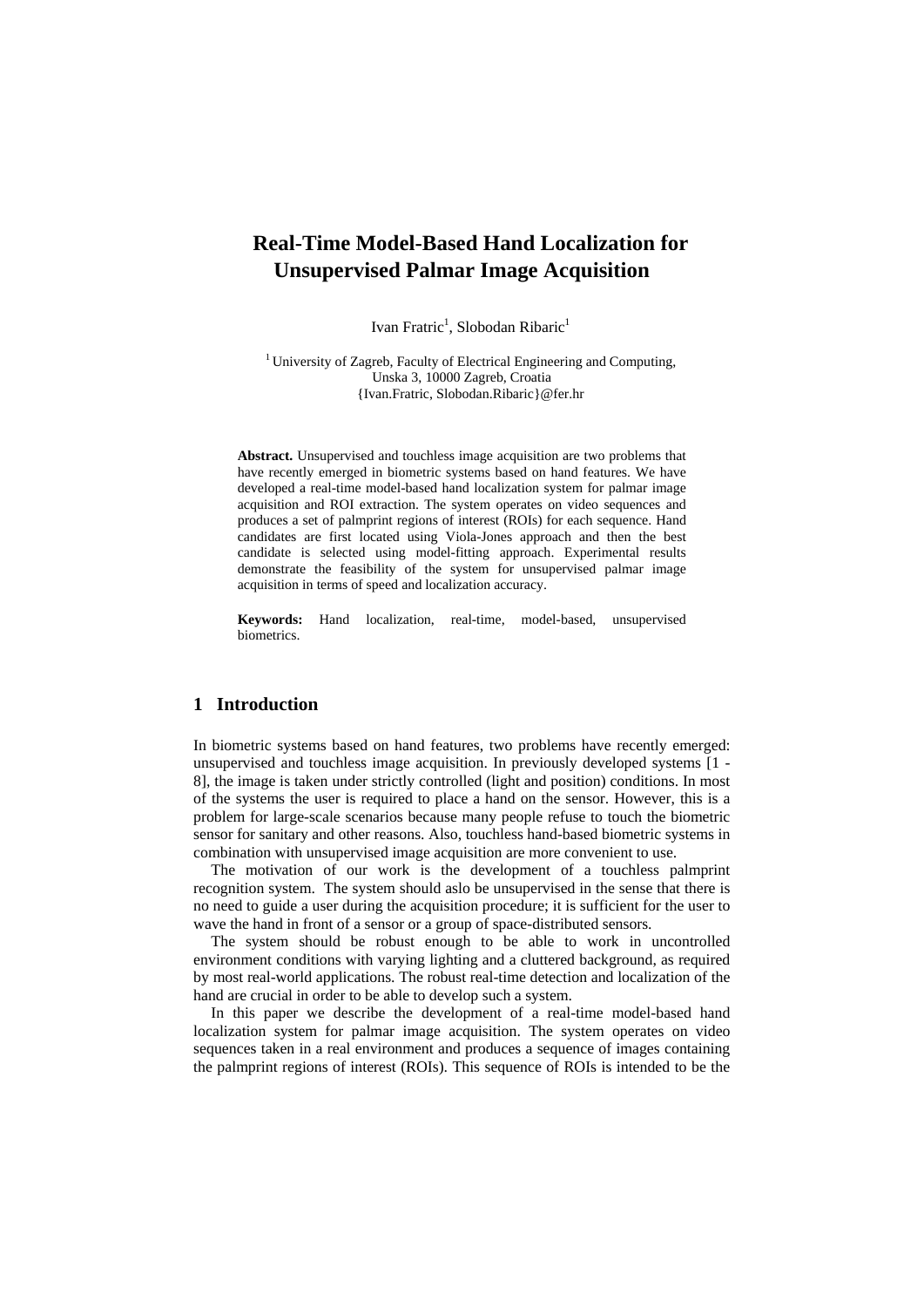# **Real-Time Model-Based Hand Localization for Unsupervised Palmar Image Acquisition**

Ivan Fratric<sup>1</sup>, Slobodan Ribaric<sup>1</sup>

<sup>1</sup> University of Zagreb, Faculty of Electrical Engineering and Computing, Unska 3, 10000 Zagreb, Croatia {Ivan.Fratric, Slobodan.Ribaric}@fer.hr

**Abstract.** Unsupervised and touchless image acquisition are two problems that have recently emerged in biometric systems based on hand features. We have developed a real-time model-based hand localization system for palmar image acquisition and ROI extraction. The system operates on video sequences and produces a set of palmprint regions of interest (ROIs) for each sequence. Hand candidates are first located using Viola-Jones approach and then the best candidate is selected using model-fitting approach. Experimental results demonstrate the feasibility of the system for unsupervised palmar image acquisition in terms of speed and localization accuracy.

**Keywords:** Hand localization, real-time, model-based, unsupervised biometrics.

# **1 Introduction**

In biometric systems based on hand features, two problems have recently emerged: unsupervised and touchless image acquisition. In previously developed systems [1 - 8], the image is taken under strictly controlled (light and position) conditions. In most of the systems the user is required to place a hand on the sensor. However, this is a problem for large-scale scenarios because many people refuse to touch the biometric sensor for sanitary and other reasons. Also, touchless hand-based biometric systems in combination with unsupervised image acquisition are more convenient to use.

The motivation of our work is the development of a touchless palmprint recognition system. The system should aslo be unsupervised in the sense that there is no need to guide a user during the acquisition procedure; it is sufficient for the user to wave the hand in front of a sensor or a group of space-distributed sensors.

The system should be robust enough to be able to work in uncontrolled environment conditions with varying lighting and a cluttered background, as required by most real-world applications. The robust real-time detection and localization of the hand are crucial in order to be able to develop such a system.

In this paper we describe the development of a real-time model-based hand localization system for palmar image acquisition. The system operates on video sequences taken in a real environment and produces a sequence of images containing the palmprint regions of interest (ROIs). This sequence of ROIs is intended to be the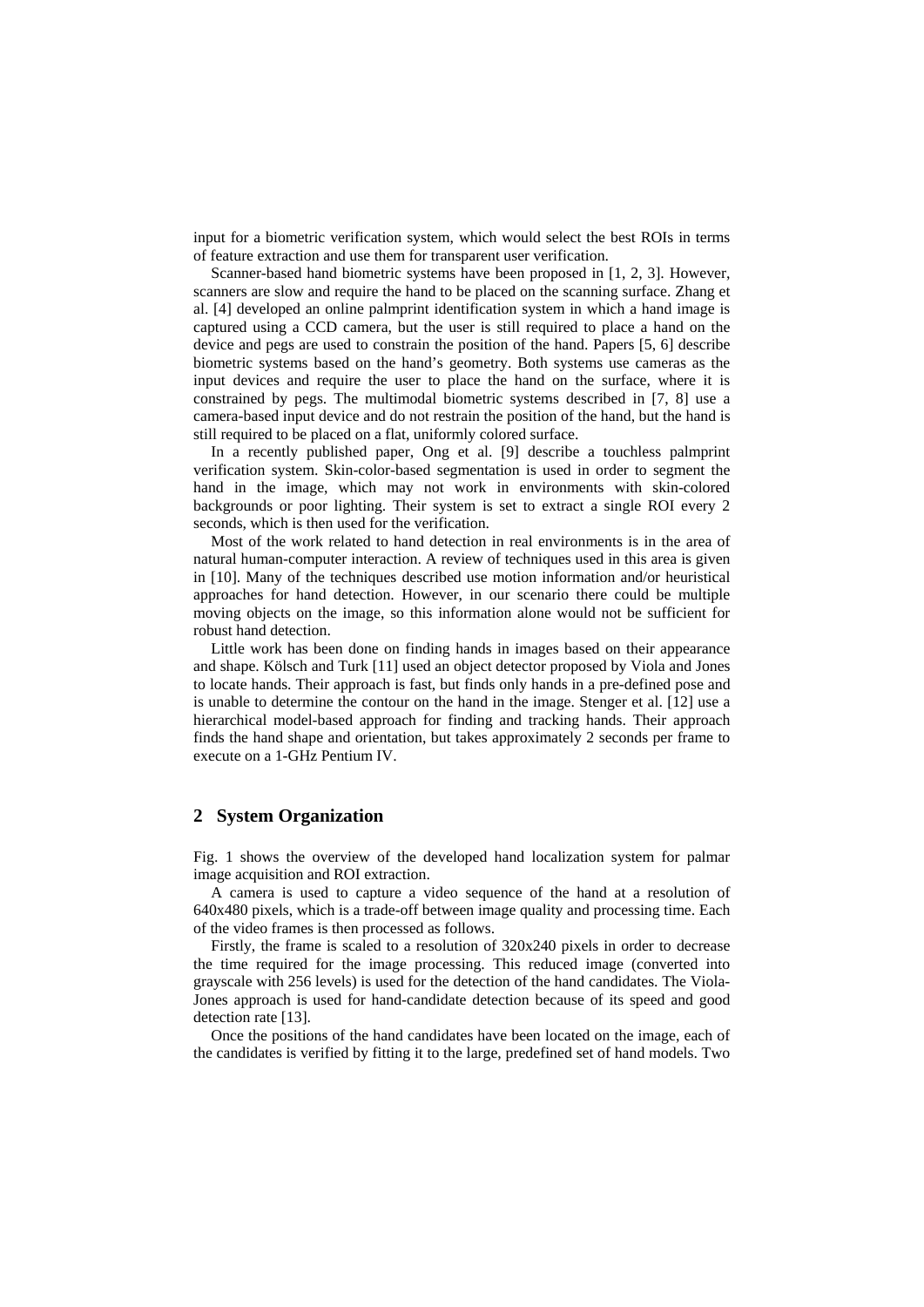input for a biometric verification system, which would select the best ROIs in terms of feature extraction and use them for transparent user verification.

Scanner-based hand biometric systems have been proposed in [1, 2, 3]. However, scanners are slow and require the hand to be placed on the scanning surface. Zhang et al. [4] developed an online palmprint identification system in which a hand image is captured using a CCD camera, but the user is still required to place a hand on the device and pegs are used to constrain the position of the hand. Papers [5, 6] describe biometric systems based on the hand's geometry. Both systems use cameras as the input devices and require the user to place the hand on the surface, where it is constrained by pegs. The multimodal biometric systems described in [7, 8] use a camera-based input device and do not restrain the position of the hand, but the hand is still required to be placed on a flat, uniformly colored surface.

In a recently published paper, Ong et al. [9] describe a touchless palmprint verification system. Skin-color-based segmentation is used in order to segment the hand in the image, which may not work in environments with skin-colored backgrounds or poor lighting. Their system is set to extract a single ROI every 2 seconds, which is then used for the verification.

Most of the work related to hand detection in real environments is in the area of natural human-computer interaction. A review of techniques used in this area is given in [10]. Many of the techniques described use motion information and/or heuristical approaches for hand detection. However, in our scenario there could be multiple moving objects on the image, so this information alone would not be sufficient for robust hand detection.

Little work has been done on finding hands in images based on their appearance and shape. Kölsch and Turk [11] used an object detector proposed by Viola and Jones to locate hands. Their approach is fast, but finds only hands in a pre-defined pose and is unable to determine the contour on the hand in the image. Stenger et al. [12] use a hierarchical model-based approach for finding and tracking hands. Their approach finds the hand shape and orientation, but takes approximately 2 seconds per frame to execute on a 1-GHz Pentium IV.

# **2 System Organization**

Fig. 1 shows the overview of the developed hand localization system for palmar image acquisition and ROI extraction.

A camera is used to capture a video sequence of the hand at a resolution of 640x480 pixels, which is a trade-off between image quality and processing time. Each of the video frames is then processed as follows.

Firstly, the frame is scaled to a resolution of 320x240 pixels in order to decrease the time required for the image processing. This reduced image (converted into grayscale with 256 levels) is used for the detection of the hand candidates. The Viola-Jones approach is used for hand-candidate detection because of its speed and good detection rate [13].

Once the positions of the hand candidates have been located on the image, each of the candidates is verified by fitting it to the large, predefined set of hand models. Two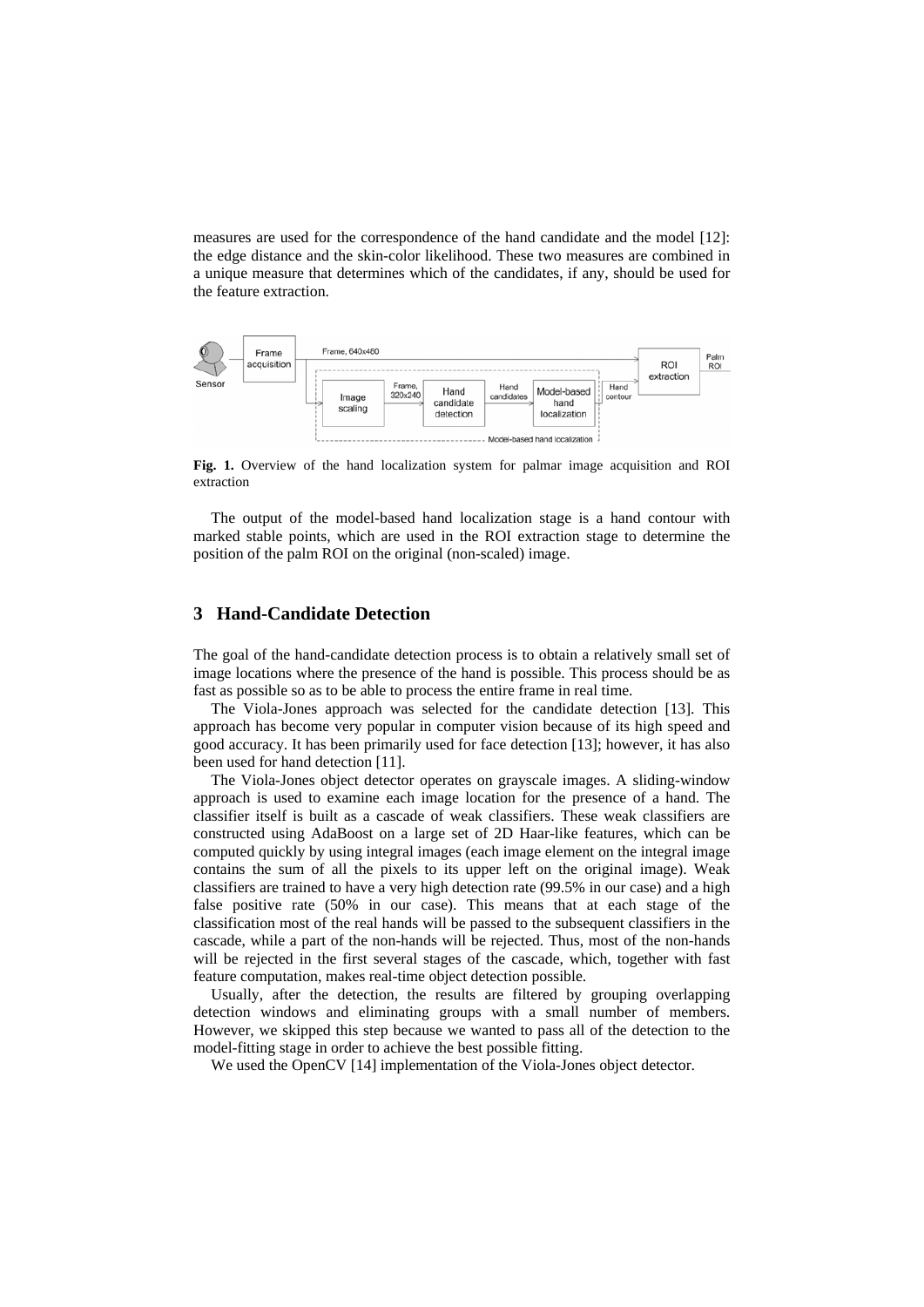measures are used for the correspondence of the hand candidate and the model [12]: the edge distance and the skin-color likelihood. These two measures are combined in a unique measure that determines which of the candidates, if any, should be used for the feature extraction.



**Fig. 1.** Overview of the hand localization system for palmar image acquisition and ROI extraction

The output of the model-based hand localization stage is a hand contour with marked stable points, which are used in the ROI extraction stage to determine the position of the palm ROI on the original (non-scaled) image.

#### **3 Hand-Candidate Detection**

The goal of the hand-candidate detection process is to obtain a relatively small set of image locations where the presence of the hand is possible. This process should be as fast as possible so as to be able to process the entire frame in real time.

The Viola-Jones approach was selected for the candidate detection [13]. This approach has become very popular in computer vision because of its high speed and good accuracy. It has been primarily used for face detection [13]; however, it has also been used for hand detection [11].

The Viola-Jones object detector operates on grayscale images. A sliding-window approach is used to examine each image location for the presence of a hand. The classifier itself is built as a cascade of weak classifiers. These weak classifiers are constructed using AdaBoost on a large set of 2D Haar-like features, which can be computed quickly by using integral images (each image element on the integral image contains the sum of all the pixels to its upper left on the original image). Weak classifiers are trained to have a very high detection rate (99.5% in our case) and a high false positive rate (50% in our case). This means that at each stage of the classification most of the real hands will be passed to the subsequent classifiers in the cascade, while a part of the non-hands will be rejected. Thus, most of the non-hands will be rejected in the first several stages of the cascade, which, together with fast feature computation, makes real-time object detection possible.

Usually, after the detection, the results are filtered by grouping overlapping detection windows and eliminating groups with a small number of members. However, we skipped this step because we wanted to pass all of the detection to the model-fitting stage in order to achieve the best possible fitting.

We used the OpenCV [14] implementation of the Viola-Jones object detector.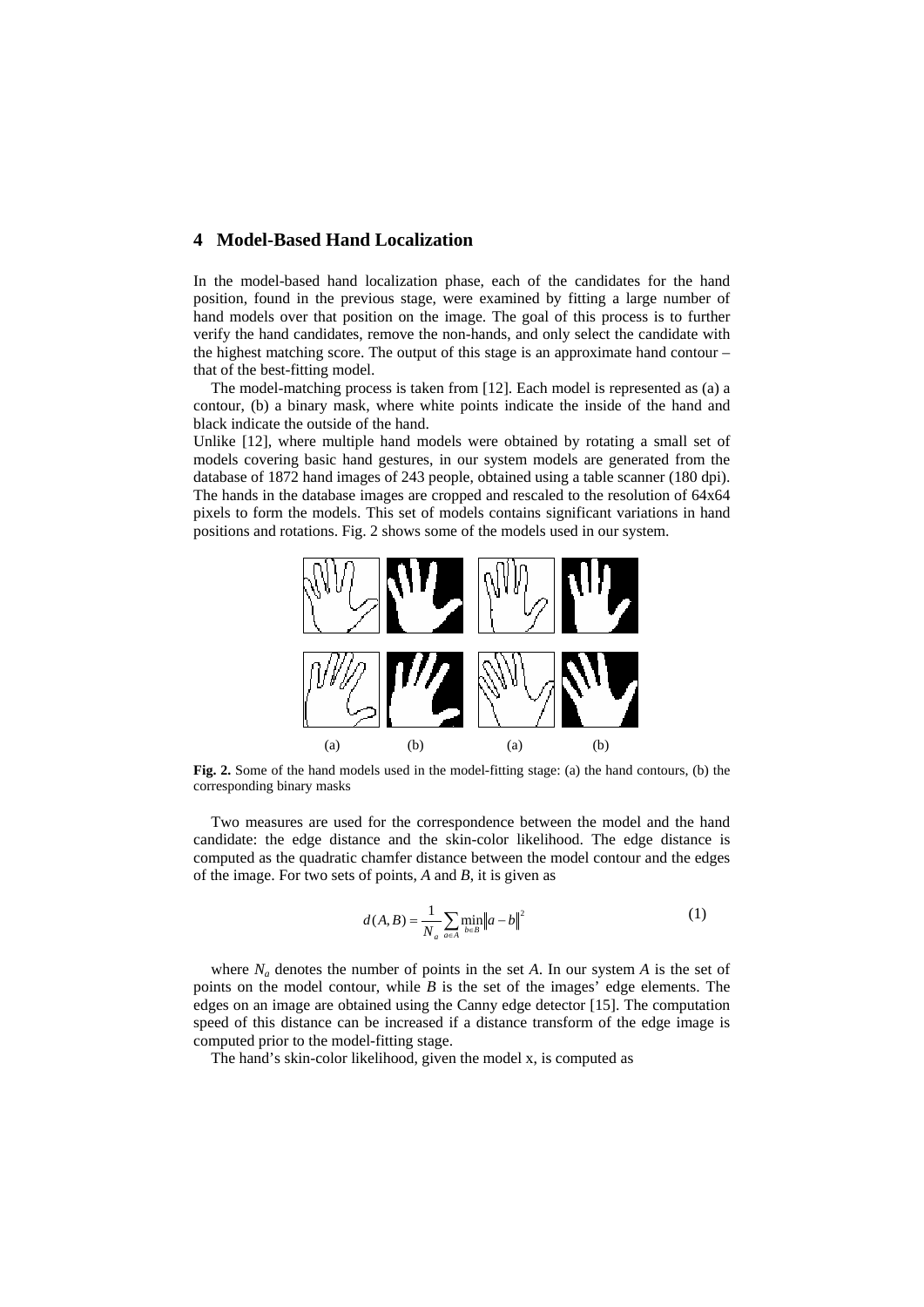## **4 Model-Based Hand Localization**

In the model-based hand localization phase, each of the candidates for the hand position, found in the previous stage, were examined by fitting a large number of hand models over that position on the image. The goal of this process is to further verify the hand candidates, remove the non-hands, and only select the candidate with the highest matching score. The output of this stage is an approximate hand contour – that of the best-fitting model.

The model-matching process is taken from [12]. Each model is represented as (a) a contour, (b) a binary mask, where white points indicate the inside of the hand and black indicate the outside of the hand.

Unlike [12], where multiple hand models were obtained by rotating a small set of models covering basic hand gestures, in our system models are generated from the database of 1872 hand images of 243 people, obtained using a table scanner (180 dpi). The hands in the database images are cropped and rescaled to the resolution of 64x64 pixels to form the models. This set of models contains significant variations in hand positions and rotations. Fig. 2 shows some of the models used in our system.



**Fig. 2.** Some of the hand models used in the model-fitting stage: (a) the hand contours, (b) the corresponding binary masks

Two measures are used for the correspondence between the model and the hand candidate: the edge distance and the skin-color likelihood. The edge distance is computed as the quadratic chamfer distance between the model contour and the edges of the image. For two sets of points, *A* and *B*, it is given as

$$
d(A, B) = \frac{1}{N_a} \sum_{a \in A} \min_{b \in B} ||a - b||^2
$$
 (1)

where  $N_a$  denotes the number of points in the set A. In our system A is the set of points on the model contour, while *B* is the set of the images' edge elements. The edges on an image are obtained using the Canny edge detector [15]. The computation speed of this distance can be increased if a distance transform of the edge image is computed prior to the model-fitting stage.

The hand's skin-color likelihood, given the model x, is computed as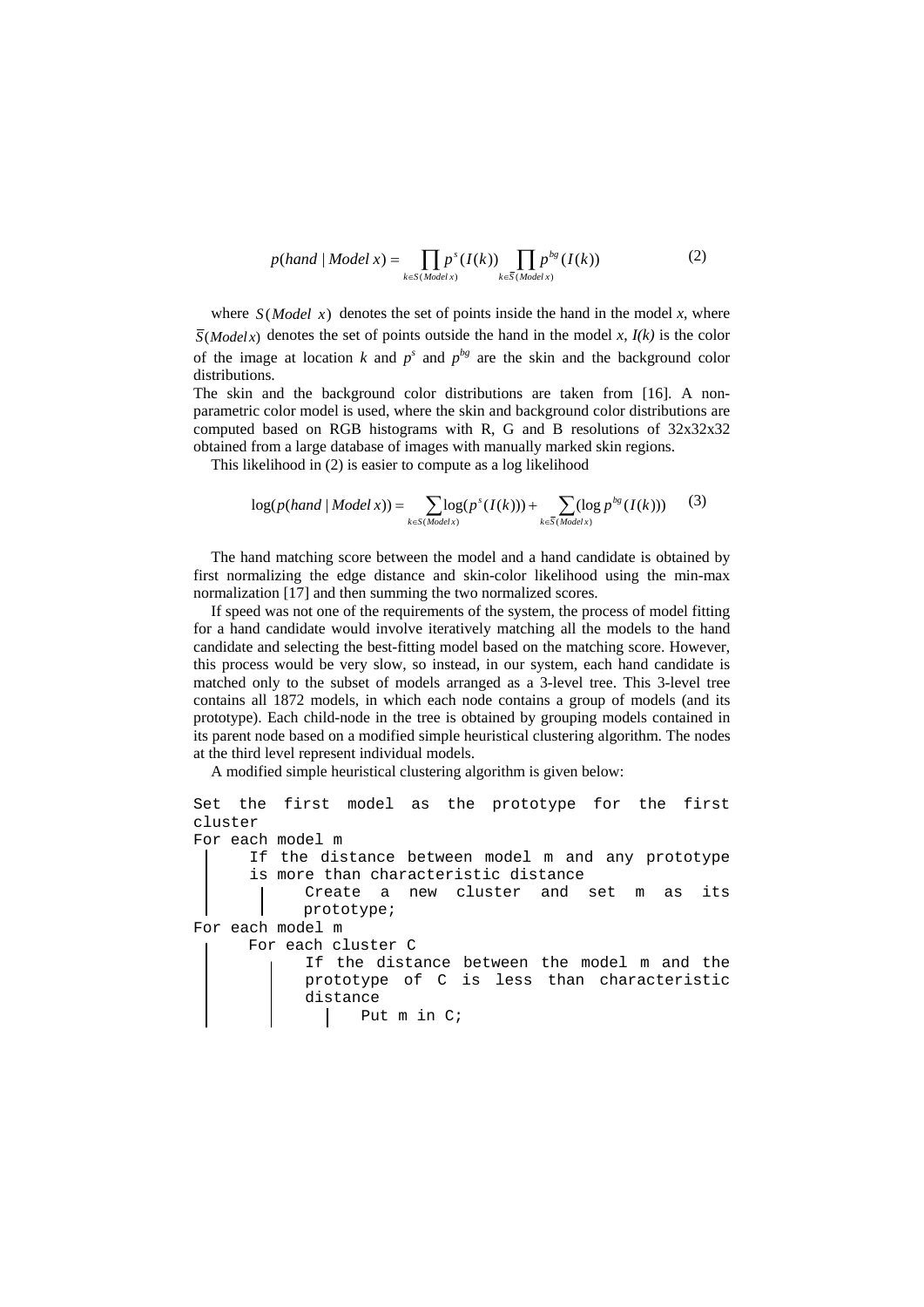$$
p(hand | Model x) = \prod_{k \in S(Model x)} p^{s}(I(k)) \prod_{k \in \overline{S}(Model x)} p^{bg}(I(k))
$$
 (2)

where  $S(Model x)$  denotes the set of points inside the hand in the model x, where  $\overline{S}(Modelx)$  denotes the set of points outside the hand in the model *x*,  $I(k)$  is the color of the image at location *k* and  $p^s$  and  $p^{bg}$  are the skin and the background color distributions.

The skin and the background color distributions are taken from [16]. A nonparametric color model is used, where the skin and background color distributions are computed based on RGB histograms with R, G and B resolutions of 32x32x32 obtained from a large database of images with manually marked skin regions.

This likelihood in (2) is easier to compute as a log likelihood

$$
\log(p(hand \mid Model\, x)) = \sum_{k \in S(Model\, x)} \log(p^s(I(k))) + \sum_{k \in \overline{S}(Model\, x)} (\log p^{bg}(I(k))) \tag{3}
$$

The hand matching score between the model and a hand candidate is obtained by first normalizing the edge distance and skin-color likelihood using the min-max normalization [17] and then summing the two normalized scores.

If speed was not one of the requirements of the system, the process of model fitting for a hand candidate would involve iteratively matching all the models to the hand candidate and selecting the best-fitting model based on the matching score. However, this process would be very slow, so instead, in our system, each hand candidate is matched only to the subset of models arranged as a 3-level tree. This 3-level tree contains all 1872 models, in which each node contains a group of models (and its prototype). Each child-node in the tree is obtained by grouping models contained in its parent node based on a modified simple heuristical clustering algorithm. The nodes at the third level represent individual models.

A modified simple heuristical clustering algorithm is given below:

```
Set the first model as the prototype for the first 
cluster 
For each model m 
     If the distance between model m and any prototype 
     is more than characteristic distance 
           Create a new cluster and set m as its 
           prototype; 
For each model m 
      For each cluster C 
           If the distance between the model m and the 
           prototype of C is less than characteristic 
           distance 
                 Put m in C;
```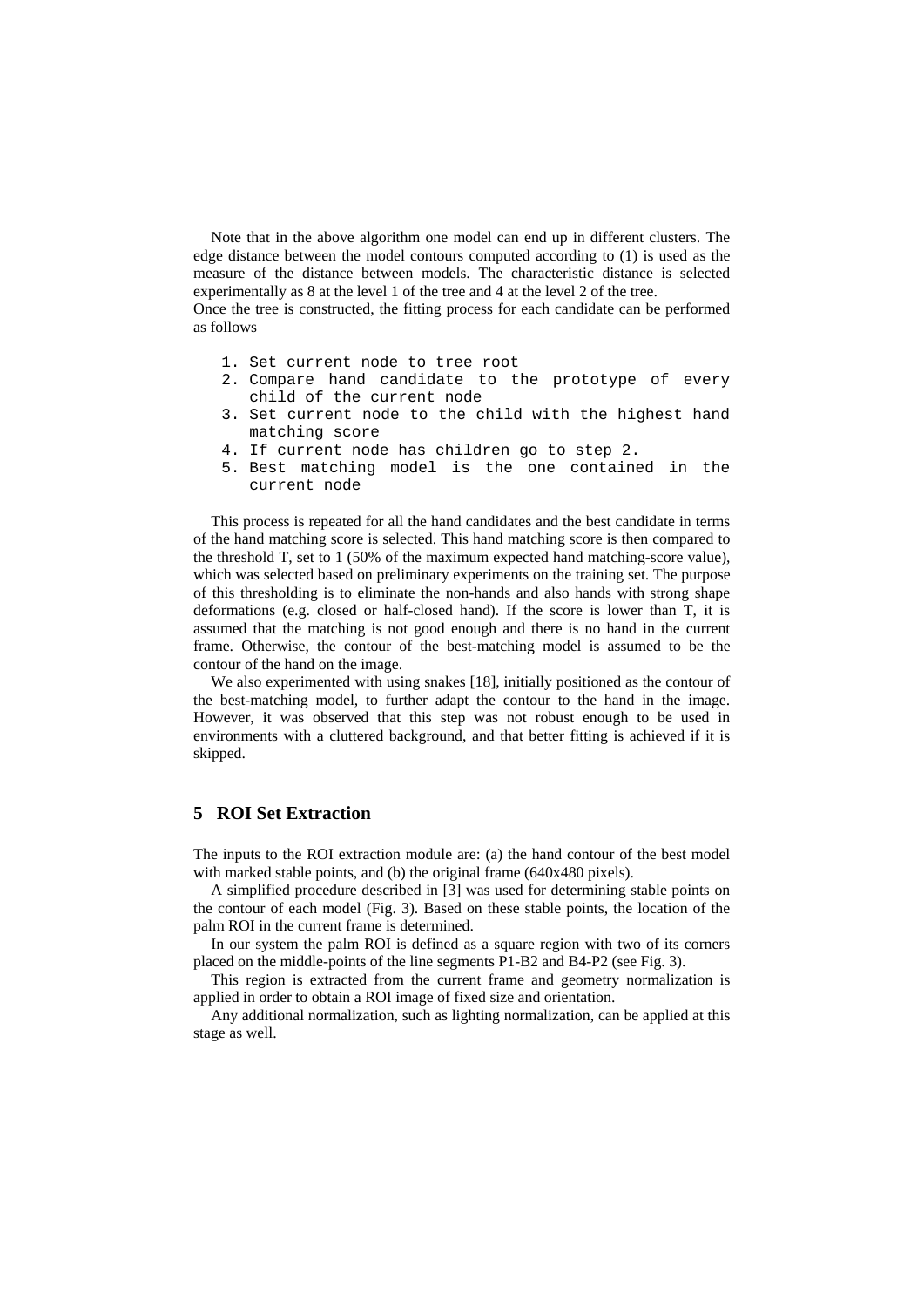Note that in the above algorithm one model can end up in different clusters. The edge distance between the model contours computed according to (1) is used as the measure of the distance between models. The characteristic distance is selected experimentally as 8 at the level 1 of the tree and 4 at the level 2 of the tree.

Once the tree is constructed, the fitting process for each candidate can be performed as follows

- 1. Set current node to tree root
- 2. Compare hand candidate to the prototype of every child of the current node
- 3. Set current node to the child with the highest hand matching score
- 4. If current node has children go to step 2.
- 5. Best matching model is the one contained in the current node

This process is repeated for all the hand candidates and the best candidate in terms of the hand matching score is selected. This hand matching score is then compared to the threshold T, set to 1 (50% of the maximum expected hand matching-score value), which was selected based on preliminary experiments on the training set. The purpose of this thresholding is to eliminate the non-hands and also hands with strong shape deformations (e.g. closed or half-closed hand). If the score is lower than T, it is assumed that the matching is not good enough and there is no hand in the current frame. Otherwise, the contour of the best-matching model is assumed to be the contour of the hand on the image.

We also experimented with using snakes [18], initially positioned as the contour of the best-matching model, to further adapt the contour to the hand in the image. However, it was observed that this step was not robust enough to be used in environments with a cluttered background, and that better fitting is achieved if it is skipped.

## **5 ROI Set Extraction**

The inputs to the ROI extraction module are: (a) the hand contour of the best model with marked stable points, and (b) the original frame (640x480 pixels).

A simplified procedure described in [3] was used for determining stable points on the contour of each model (Fig. 3). Based on these stable points, the location of the palm ROI in the current frame is determined.

In our system the palm ROI is defined as a square region with two of its corners placed on the middle-points of the line segments P1-B2 and B4-P2 (see Fig. 3).

This region is extracted from the current frame and geometry normalization is applied in order to obtain a ROI image of fixed size and orientation.

Any additional normalization, such as lighting normalization, can be applied at this stage as well.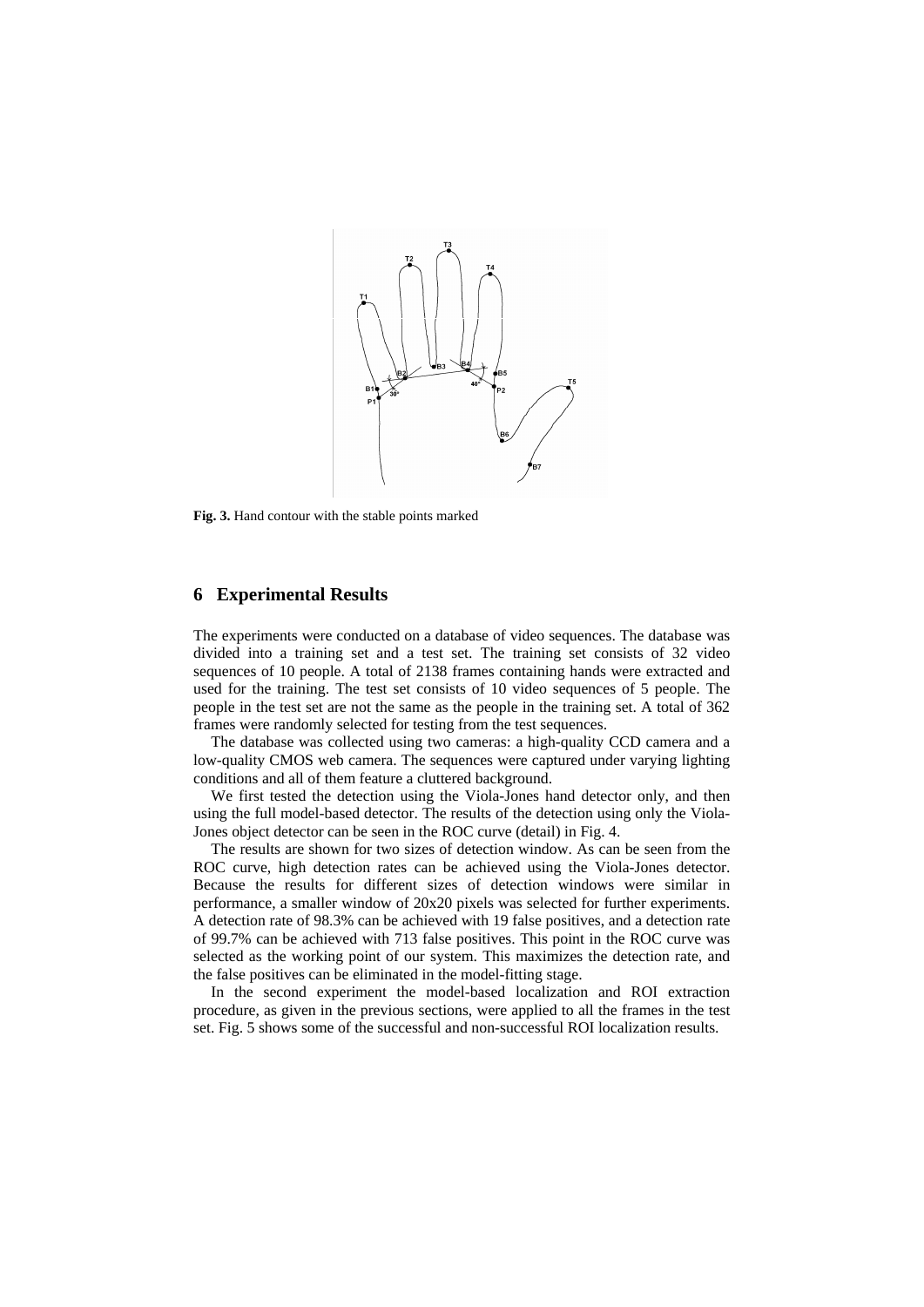

**Fig. 3.** Hand contour with the stable points marked

# **6 Experimental Results**

The experiments were conducted on a database of video sequences. The database was divided into a training set and a test set. The training set consists of 32 video sequences of 10 people. A total of 2138 frames containing hands were extracted and used for the training. The test set consists of 10 video sequences of 5 people. The people in the test set are not the same as the people in the training set. A total of 362 frames were randomly selected for testing from the test sequences.

The database was collected using two cameras: a high-quality CCD camera and a low-quality CMOS web camera. The sequences were captured under varying lighting conditions and all of them feature a cluttered background.

We first tested the detection using the Viola-Jones hand detector only, and then using the full model-based detector. The results of the detection using only the Viola-Jones object detector can be seen in the ROC curve (detail) in Fig. 4.

The results are shown for two sizes of detection window. As can be seen from the ROC curve, high detection rates can be achieved using the Viola-Jones detector. Because the results for different sizes of detection windows were similar in performance, a smaller window of 20x20 pixels was selected for further experiments. A detection rate of 98.3% can be achieved with 19 false positives, and a detection rate of 99.7% can be achieved with 713 false positives. This point in the ROC curve was selected as the working point of our system. This maximizes the detection rate, and the false positives can be eliminated in the model-fitting stage.

In the second experiment the model-based localization and ROI extraction procedure, as given in the previous sections, were applied to all the frames in the test set. Fig. 5 shows some of the successful and non-successful ROI localization results.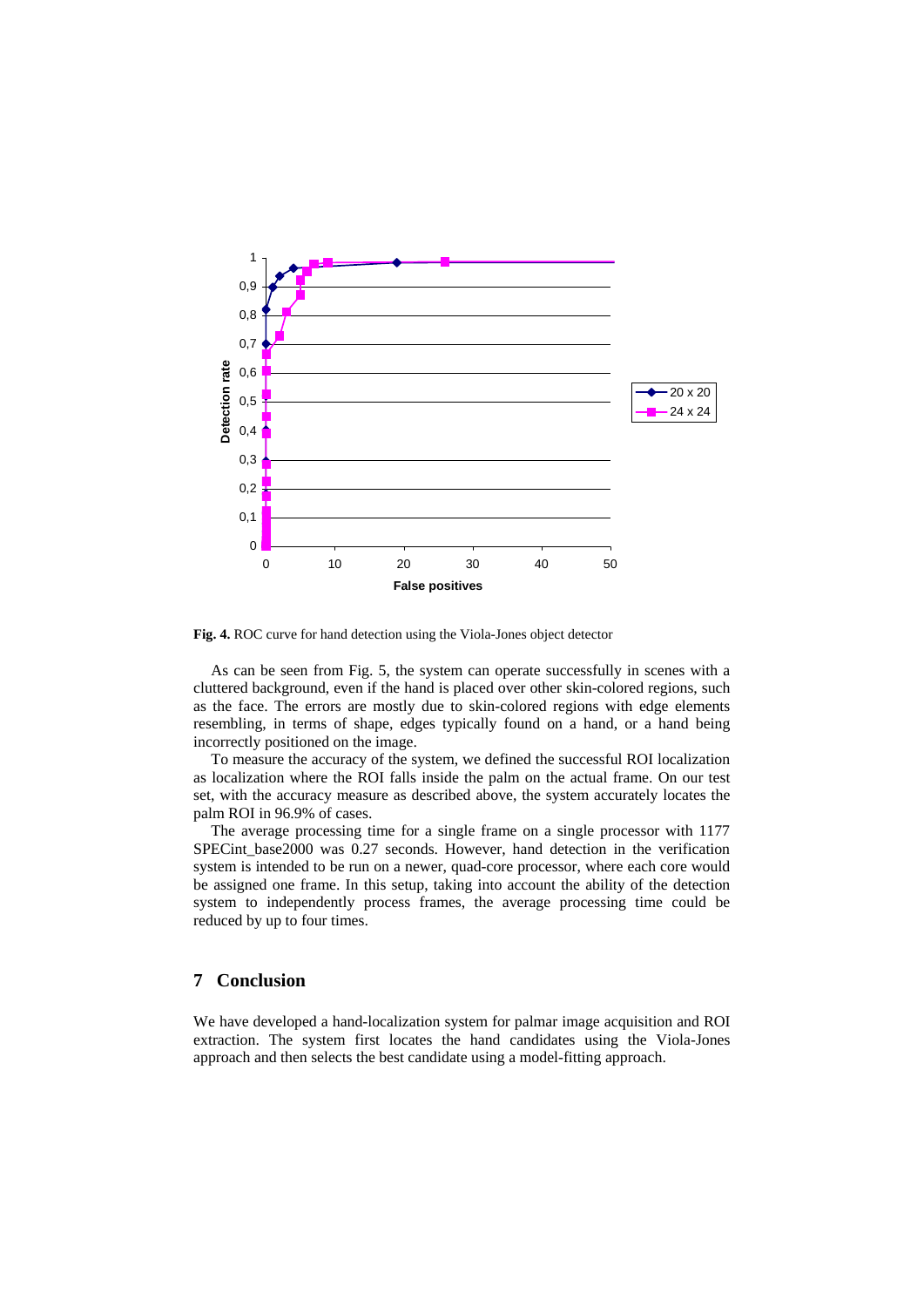

**Fig. 4.** ROC curve for hand detection using the Viola-Jones object detector

As can be seen from Fig. 5, the system can operate successfully in scenes with a cluttered background, even if the hand is placed over other skin-colored regions, such as the face. The errors are mostly due to skin-colored regions with edge elements resembling, in terms of shape, edges typically found on a hand, or a hand being incorrectly positioned on the image.

To measure the accuracy of the system, we defined the successful ROI localization as localization where the ROI falls inside the palm on the actual frame. On our test set, with the accuracy measure as described above, the system accurately locates the palm ROI in 96.9% of cases.

The average processing time for a single frame on a single processor with 1177 SPECint\_base2000 was 0.27 seconds. However, hand detection in the verification system is intended to be run on a newer, quad-core processor, where each core would be assigned one frame. In this setup, taking into account the ability of the detection system to independently process frames, the average processing time could be reduced by up to four times.

#### **7 Conclusion**

We have developed a hand-localization system for palmar image acquisition and ROI extraction. The system first locates the hand candidates using the Viola-Jones approach and then selects the best candidate using a model-fitting approach.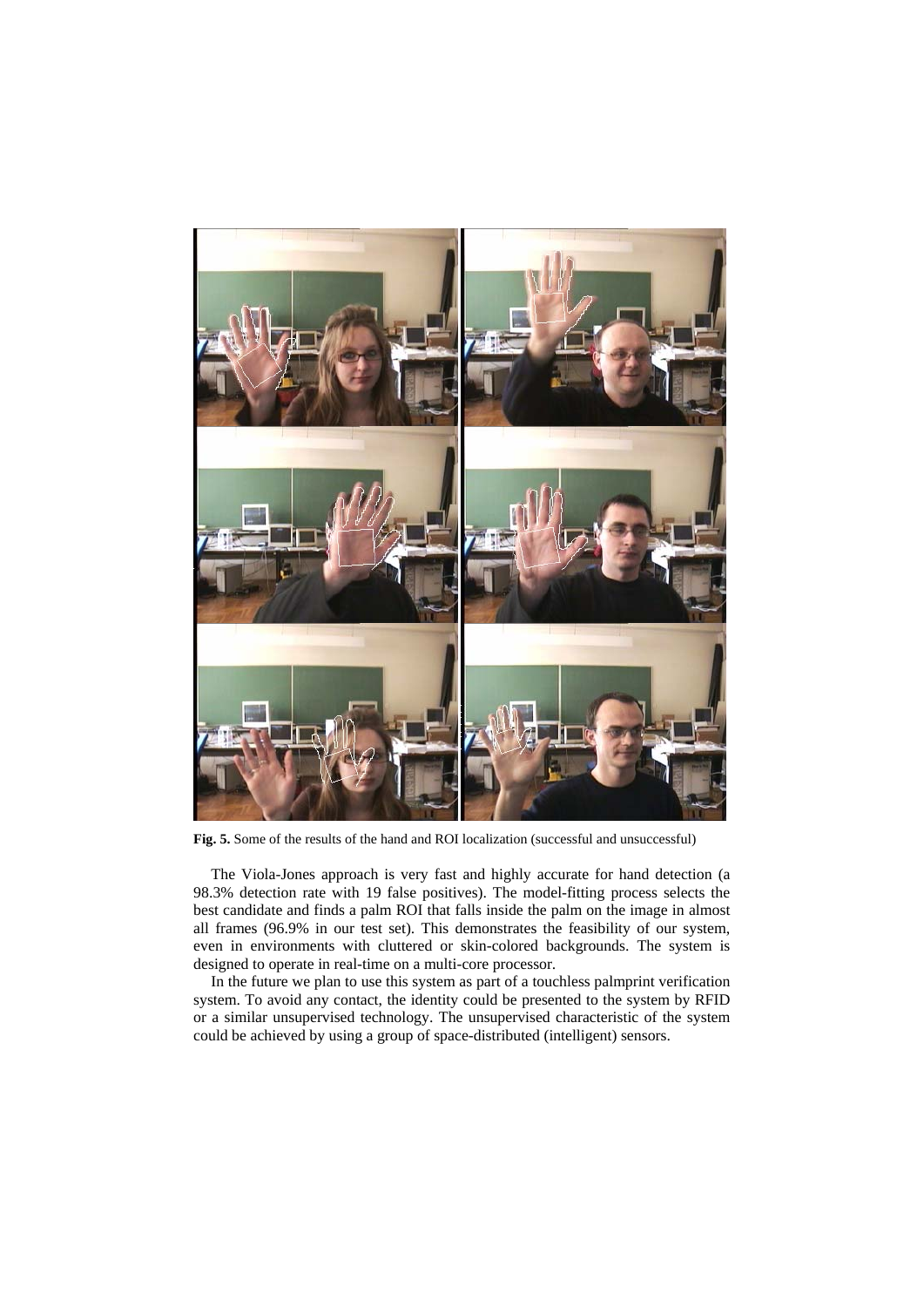

**Fig. 5.** Some of the results of the hand and ROI localization (successful and unsuccessful)

The Viola-Jones approach is very fast and highly accurate for hand detection (a 98.3% detection rate with 19 false positives). The model-fitting process selects the best candidate and finds a palm ROI that falls inside the palm on the image in almost all frames (96.9% in our test set). This demonstrates the feasibility of our system, even in environments with cluttered or skin-colored backgrounds. The system is designed to operate in real-time on a multi-core processor.

In the future we plan to use this system as part of a touchless palmprint verification system. To avoid any contact, the identity could be presented to the system by RFID or a similar unsupervised technology. The unsupervised characteristic of the system could be achieved by using a group of space-distributed (intelligent) sensors.